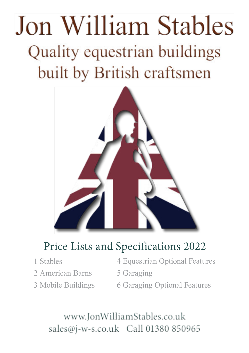# Jon William Stables Quality equestrian buildings built by British craftsmen



### Price Lists and Specifications 2022

- 1 Stables
- 2 American Barns
- 3 Mobile Buildings
- 4 Equestrian Optional Features
- 5 Garaging
- 6 Garaging Optional Features

www.JonWilliamStables.co.uk sales@j-w-s.co.uk Call 01380 850965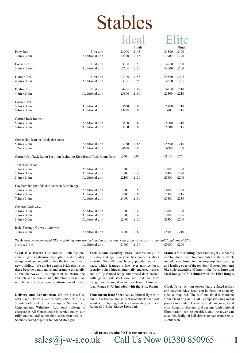# Stables

### Ideal Elite

|                                                                      |                 |       | Plinth |       | Plinth |
|----------------------------------------------------------------------|-----------------|-------|--------|-------|--------|
| Pony Box.                                                            | First unit      | £3000 | £145   | £4800 | £190   |
| $3.0m \times 3.6m$                                                   | Additional unit | £2400 | £145   | £3900 | £190   |
|                                                                      |                 |       |        |       |        |
| Loose Box.                                                           | First unit      | £3100 | £150   | £4900 | £200   |
| 3.6m x 3.6m                                                          | Additional unit | £2500 | £150   | £4000 | £200   |
|                                                                      |                 |       |        |       |        |
| Hunter Box.                                                          | First unit      | £3700 | £155   | £5500 | £205   |
| $4.2m \times 3.6m$                                                   | Additional unit | £3100 | £155   | £4600 | £205   |
|                                                                      |                 |       |        |       |        |
| Foaling Box.                                                         | First unit      | £4400 | £160   | £6200 | £210   |
| $4.8m \times 3.6m$                                                   | Additional unit | £3800 | £160   | £5300 | £210   |
|                                                                      |                 |       |        |       |        |
| Corner Box.                                                          |                 |       |        |       |        |
| $5.0m \times 3.6m$                                                   | Additional unit | £3600 | £160   | £5400 | £210   |
| 5.4m x 3.6m                                                          | Additional unit | £3900 | £165   | £5700 | £215   |
|                                                                      |                 |       |        |       |        |
| Corner Tack Room.                                                    |                 |       |        |       |        |
| $5.0m \times 3.6m$                                                   | Additional unit | £3500 | £160   | £5300 | £210   |
| 5.4m x 3.6m                                                          | Additional unit | £3800 | £165   | £5600 | £215   |
|                                                                      |                 |       |        |       |        |
| Corner Hay Barn inc 1pr double doors.                                |                 |       |        |       |        |
| 5.4m x 3.6m                                                          | Additional unit | £3900 | £165   | £5500 | £215   |
| $7.2m \times 3.6m$                                                   | Additional unit | £4600 | £180   | £6600 | £230   |
|                                                                      |                 |       |        |       |        |
| Corner Unit Tack Room Partition Including Kick Board Tack Room Door. |                 | £550  | £50    | £1100 | £75    |
|                                                                      |                 |       |        |       |        |
| Tack/Feed Room.                                                      |                 |       |        |       |        |
| $1.8m \times 3.6m$                                                   | Additional unit | £1500 | £130   | £3000 | £180   |
| $2.4m \times 3.6m$                                                   | Additional unit | £1700 | £140   | £3400 | £190   |
| 3.6m x 3.6m                                                          | Additional unit | £2100 | £150   | £3800 | £200   |
| Hay Barn inc 1pr of double doors on Elite Range                      |                 |       |        |       |        |
| $3.6m \times 3.6m$                                                   | Additional unit | £2200 | £150   | £4000 | £200   |
| 5.4m x 3.6m                                                          | Additional unit | £3300 | £165   | £5300 | £215   |
| $7.2m \times 3.6m$                                                   | Additional unit | £4000 | £180   | £6400 | £230   |
|                                                                      |                 |       |        |       |        |
| Covered Walkway.                                                     |                 |       |        |       |        |
| $2.4m \times 3.6m$                                                   | Additional unit | £1600 | £140   | £2800 | £190   |
| $3.0m \times 3.6m$                                                   | Additional unit | £1800 | £145   | £3000 | £195   |
| $3.6m \times 3.6m$                                                   | Additional unit | £2000 | £150   | £3300 | £200   |
|                                                                      |                 |       |        |       |        |
| Ride Through Curved Archway.                                         |                 |       |        |       |        |
| 3.6m x 4.8m                                                          | Additional unit | £4000 | £160   | £5300 | £210   |
|                                                                      |                 |       |        |       |        |

Wash Area we recommend EVA wall lining mats are included to protect the walls from water spray at an additional cost of £700. 3.6m x 3.6m £150 Additional unit £1900 £3000 £200

**What is a Plinth?** Our unique Plinth System, consisting of a galvanised steel plinth and a quality damp proof course, will protect the bottom of your new building. We advise against brick plinths as these become damp, move and crumble especially at the doorways. It is important to ensure the concrete is the correct size, therefore a base plan will be sent to you upon confirmation of order.

**Delivery and Construction** We are pleased to offer Free Delivery and Construction within a 50mile radius of our workshop in Netherstreet, Chippenham, Wiltshire. Additional mileage is chargeable. All Construction is carried out by our fully trained staff rather than subcontractors. All Sections bolted together for added strength.

**Tack Room Security Pack** Unfortunately in this day and age, everyone has concerns about security. We offer our hugely popular Security pack, which features a five lever mortice lock, security bolted hinges, internally enclosed trusses and a fully framed ledge and braced door backed with galvanised steel (not required for Elite Range) and mounted in its own frame. Intro and Ideal Range £495 **Included with the Elite Range.**

**Translucent Roof Sheet** Add additional light with our sun reflective translucent roof sheets that will assist with clipping and other intricate jobs. Ideal Range £60 **Elite Range Included.**

**Stable Anti Cribbing Pack** Full height kickboards and top door lined. Top door anti bite strips which include, steel lining to door stop, top door opening and leading edge of the top door. Bottom door anti bite strip extending 450mm to the front. Intro and Ideal Range £375 **Included with the Elite Range.**

**Clock Tower** All our towers feature fluted pillars and louvred sides. Dials can be fitted on as many sides as required. The roof and finial is moulded from a lead original in GRP composite using metal powder to simulate lead whilst reducing weight and cost. Roman or Skeleton dial designs(with optional illumination) can be specified, and the tower can also include digital bell chimes orreal bronze bells. £2500 each.

sales@j-w-s.co.uk Call Us Now 01380 850965 **All prices are plus VAT at the current rate**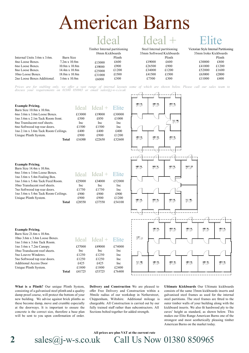## American Barns

### Ideal

|                         |                      | Timber Internal partitioning<br>18mm Kickboards |        |
|-------------------------|----------------------|-------------------------------------------------|--------|
| rnal Units 3.6m x 3.6m. | Barn Size            |                                                 | Plinth |
| Loose Boxes.            | $7.2m \times 10.8m$  | £13000                                          | £600   |
| Loose Boxes.            | $10.8m \times 10.8m$ | £19000                                          | £900   |
| Loose Boxes.            | $14.4m \times 10.8m$ | £25000                                          | £1200  |
| o Loose Boxes.          | $18.0m \times 10.8m$ | £31000                                          | £1500  |
| Loose Boxes Additional. | $3.6m \times 10.8m$  | £6000                                           | £300   |
|                         |                      |                                                 |        |

*discuss your requirements on 01380 850965 or email sales@j-w-s.co.uk*

| Steel Internal partitioning |  |
|-----------------------------|--|
| 33mm Softwood Kickboards    |  |
| Plinth                      |  |

£600 £900 £1200 £1500 £300

£19000 £26500 £34000 £41500 £7500

| VIIIt                                 |
|---------------------------------------|
| Victorian Style Internal Partitioning |
| 33mm Iroko Kickboards                 |

|        | Plinth |
|--------|--------|
| £30000 | £800   |
| £41000 | £1200  |
| £52000 | £1600  |
| £63000 | £2000  |
| £11000 | £400   |

Prices are for stabling only, we offer a vast range of internal layouts some of which are shown below. Please call our sales team to

| <b>Example Pricing.</b>             |            | $Ideal$ $Ideal +$ $Elite$ |            |
|-------------------------------------|------------|---------------------------|------------|
| Barn Size 10.8m x 10.8m.            |            |                           |            |
| 6no 3.6m x 3.6m Loose Boxes.        | £13000     | £19000                    | £30000     |
| 1no 3.6m x 2.1m Tack Room front.    | £500       | £850                      | £1000      |
| 8no Translucent roof sheets.        | <b>Inc</b> | <b>Inc</b>                | Inc        |
| 6no Softwood top rear doors.        | £1500      | £1500                     | <b>Inc</b> |
| lno 2.1m x 3.6m Tack Room Ceilings. | £400       | £400                      | £400       |
| Unique Plinth System.               | £900       | £900                      | £1200      |
| Total                               | £16300     | £22650                    | £32600     |

| <b>Example Pricing.</b>             |        |                     |            |
|-------------------------------------|--------|---------------------|------------|
| Barn Size 14.4m x 10.8m.            |        |                     |            |
| 6no 3.6m x 3.6m Loose Boxes.        |        | Ideal Ideal + Elite |            |
| lno 3.6m x 5.4m Foaling Box.        |        |                     |            |
| 1no 3.6m x 5.4m Tack/Feed Room.     | £25000 | £34000              | £52000     |
| 10no Translucent roof sheets.       | Inc.   | Inc.                | <b>Inc</b> |
| 7no Softwood top rear doors.        | £1750  | £1750               | <b>Inc</b> |
| lno 3.6m x 5.4m Tack Room Ceilings. | £900   | £900                | £900       |
| Unique Plinth System.               | £900   | £900                | £1200      |
| Total                               | £28550 | £37550              | £54100     |

#### **Example Pricing.**

**Inte**  $4n<sub>0</sub>$  $6nc$  $8no$  $10n$  $2no$ 

| Barn Size 21.6m x 10.8m.      |       |        |                           |            |
|-------------------------------|-------|--------|---------------------------|------------|
| 10no 3.6m x 3.6m Loose Boxes. |       |        | $Ideal$ $Ideal +$ $Elite$ |            |
| 1no 3.6m x 3.6m Tack Room.    |       |        |                           |            |
| $1no$ 3.6m x $7.2m$ Canopy.   |       | £37000 | £49000                    | £74000     |
| 18no Translucent roof sheets. |       | Inc.   | Inc                       | Inc        |
| 5no Louvre Windows.           |       | £1250  | £1250                     | Inc        |
| 5no Softwood top rear doors.  |       | £1250  | £1250                     | Inc        |
| <b>Additional Access Door</b> |       | £425   | £425                      | <b>Inc</b> |
| Unique Plinth System.         |       | £1800  | £1800                     | £2400      |
|                               | Total | £41725 | £53725                    | £76400     |
|                               |       |        |                           |            |



**What is a Plinth?** Our unique Plinth System, consisting of a galvanised steel plinth and a quality damp proof course, will protect the bottom of your new building. We advise against brick plinths as these become damp, move and crumble especially at the doorways. It is important to ensure the concrete is the correct size, therefore a base plan will be sent to you upon confirmation of order.

**Delivery and Construction** We are pleased to offer Free Delivery and Construction within a 50mile radius of our workshop in Netherstreet, Chippenham, Wiltshire. Additional mileage is chargeable. All Construction is carried out by our fully trained staff rather than subcontractors. All Sections bolted together for added strength.

sales@j-w-s.co.uk Call Us Now 01380 850965

**All prices are plus VAT at the current rate**

**Ultimate Kickboards** Our Ultimate kickboards consists of the same 33mm kickboards inserts and galvanised steel frames as used for the internal steel partitions. The steel frames are fitted to the outer timber walls of your building along with the kickboard inserts. We also fit hardwood ply to the eaves' height as standard, as shown below. This makes our Elite Range American Barns one of the strongest and most aesthetically pleasing timber American Barns on the market today.

**2**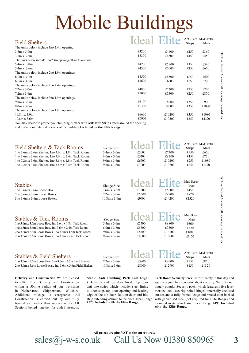# Mobile Buildings

| <b>Field Shelters</b>                                                                                  | <b>Ideal Elite</b> |        | Strips | Anti-Bite Mud Buster<br>Mats |
|--------------------------------------------------------------------------------------------------------|--------------------|--------|--------|------------------------------|
| The units below include 1 no 2.4m opening.                                                             |                    |        |        |                              |
| $3.6m \times 3.0m$                                                                                     | £3200              | £4400  | £150   | £360                         |
| $3.6m \times 3.6m$                                                                                     | £3300              | £4500  | £150   | £450                         |
| The units below include 1 no 2.4m opening off set to one side.                                         |                    |        |        |                              |
| $5.4m \times 3.0m$                                                                                     | £4200              | £5900  | £150   | £540                         |
| $5.4m \times 3.6m$                                                                                     | £4300              | £6000  | £150   | £660                         |
| The units below include 2no 1.9m openings.                                                             |                    |        |        |                              |
| $6.0$ m x $3.0$ m                                                                                      | £4500              | £6500  | £250   | £600                         |
| $6.0m \times 3.6m$                                                                                     | £4600              | £6600  | £250   | £720                         |
| The units below include 2no 2.4m openings.                                                             |                    |        |        |                              |
| $7.2m \times 3.0m$                                                                                     | £4800              | £7300  | £250   | £720                         |
| $7.2m \times 3.6m$                                                                                     | £5000              | £7500  | £250   | £870                         |
| The units below include 3no 1.9m openings.                                                             |                    |        |        |                              |
| $9.0m \times 3.0m$                                                                                     | £6100              | £8800  | £350   | £900                         |
| $9.0m \times 3.6m$                                                                                     | £6300              | £9000  | £350   | £1080                        |
| The units below include 3no 1.9m openings.                                                             |                    |        |        |                              |
| $10.8m \times 3.0m$                                                                                    | £6600              | £10200 | £350   | £1080                        |
| $10.8m \times 3.6m$                                                                                    | £6900              | £10500 | £350   | £1320                        |
| You may decide to protect your building further with <b>Anti Bite Strips</b> fitted around the opening |                    |        |        |                              |

and to the four external corners of the building **Included on the Elite Range.**

| Field Shelters & Tack Rooms                           | Sledge Size        | Ideal Elite Anti-Bite Mud Buster |        | <b>Strips</b> | Mats  |
|-------------------------------------------------------|--------------------|----------------------------------|--------|---------------|-------|
| 1 no 3.6m x 3.6m Shelter, 1 no 3.6m x 1.8m Tack Room. | $5.4m \times 3.6m$ | £5000                            | £7700  | £150          | £660  |
| Ino 3.6m x 3.6m Shelter, 1no 3.6m x 2.4m Tack Room.   | $6.0m \times 3.6m$ | £5300                            | £8200  | £150          | £720  |
| Ino 7.2m x 3.6m Shelter, 1no 3.6m x 1.8m Tack Room.   | $9.0m \times 3.6m$ | £6700                            | £10200 | £250          | £1080 |
| Ino 7.2m x 3.6m Shelter, 1no 3.6m x 2.4m Tack Room.   | $9.6m \times 3.6m$ | £7000                            | £10700 | £250          | £1170 |
|                                                       |                    |                                  |        |               |       |

| <b>Stables</b><br>lno 3.6m x 3.6m Loose Box.<br>2no 3.6m x 3.6m Loose Boxes.<br>3no 3.6m x 3.6m Loose Boxes.                                                                                                                                                            | Sledge Size<br>$3.6m \times 3.6m$<br>$7.2m \times 3.6m$<br>$10.8m \times 3.6m$               | Ideal<br>£3800<br>£6600<br>£9400                       | Flite<br>£5600<br>£9900<br>£14200  | Mud Buster<br>Mats<br>£450<br>£870<br>£1320                   |
|-------------------------------------------------------------------------------------------------------------------------------------------------------------------------------------------------------------------------------------------------------------------------|----------------------------------------------------------------------------------------------|--------------------------------------------------------|------------------------------------|---------------------------------------------------------------|
| <b>Stables &amp; Tack Rooms</b><br>Ino 3.6m x 3.6m Loose Box, Ino 3.6m x 1.8m Tack Room.<br>lno 3.6m x 3.6m Loose Box, 1no 3.6m x 2.4m Tack Room.<br>2no 3.6m x 3.6m Loose Boxes, 1no 3.6m x 1.8m Tack Room.<br>2no 3.6m x 3.6m Loose Boxes, 1no 3.6m x 2.4m Tack Room. | Sledge Size<br>5.4m x 3.6m<br>$6.0m \times 3.6m$<br>$9.0m \times 3.6m$<br>$9.6m \times 3.6m$ | <b>Ideal Elite</b><br>£5500<br>£5800<br>£8300<br>£8600 | £8800<br>£9300<br>£13100<br>£13600 | Mud Buster<br>Mats<br>£660<br>£720<br>£1080<br>£1170          |
| <b>Stables &amp; Field Shelters</b><br>$\ln 3.6$ m x $3.6$ m Loose Box. $\ln 3.6$ m x $3.6$ m Field Shelter.                                                                                                                                                            | Sledge Size<br>$7.2m \times 3.6m$                                                            | <b>Ideal Elite</b><br>£5800                            | £8600                              | Anti-Bite Mud Buster<br><b>Strips</b><br>Mats<br>£870<br>£150 |

1no 3.6m x 3.6m Loose Box, 1no 3.6m x 3.6m Field Shelter. 2no 3.6m x 3.6m Loose Boxes, 1no 3.6m x 3.6m Field Shelter.

**Delivery and Construction** We are pleased to offer Free Delivery and Construction within a 50mile radius of our workshop in Netherstreet, Chippenham, Wiltshire. Additional mileage is chargeable. All Construction is carried out by our fully trained staff rather than subcontractors. All Sections bolted together for added strength.

**Stable Anti Cribbing Pack** Full height kickboards and top door lined. Top door anti bite strips which include, steel lining to door stop, top door opening and leading edge of the top door. Bottom door anti bite strip extending 450mm to the front. Ideal Range £375 **Included with the Elite Range.**

10.8m x 3.6m

£8600

£12900

sales@j-w-s.co.uk Call Us Now 01380 850965

**All prices are plus VAT at the current rate**

**Tack Room Security Pack** Unfortunately in this day and age, everyone has concerns about security. We offer our hugely popular Security pack, which features a five lever mortice lock, security bolted hinges, internally enclosed trusses and a fully framed ledge and braced door backed with galvanised steel (not required for Elite Range) and mounted in its own frame. Ideal Range £495 **Included with the Elite Range.**

£150

£1320

Typhoon GroundAnchors £200 including manual driver

Typhoon Ground Anchors £200 including manual driver

Typhoon GroundAnchors £200 including manual driver

Typhoon Ground Anchors £200 including manual driver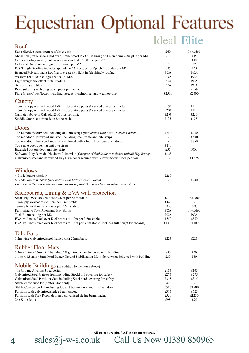## **Equestrian Optional Features** Ideal Elite

| Roof                                                                                                                       |                          |                        |
|----------------------------------------------------------------------------------------------------------------------------|--------------------------|------------------------|
| Sun reflective translucent roof sheet each.                                                                                | £60                      | Included               |
| Metal box profile sheets laid over 11mm Smart Ply OSB3 lining and membrane £200 plus per M2.                               | £10                      | £15                    |
| Cemsix roofing in grey colour options available £300 plus per M2.                                                          | £10                      | £10                    |
| Coloured Onduline, red, green or brown per M2.                                                                             | £7                       | £7                     |
| Felt Shingle Roofing includes upgrade to 22.5 degree roof pitch £150 plus per M2.                                          | £55                      | £55                    |
| Bronzed Polycarbonate Roofing to create sky light in felt shingle roofing.                                                 | <b>POA</b>               | <b>POA</b>             |
| Western red Cedar shingles & shakes M2.                                                                                    | <b>POA</b>               | <b>POA</b>             |
| Light weight tile effect metal roofing.                                                                                    | <b>POA</b>               | <b>POA</b>             |
| Synthetic slate tiles.                                                                                                     | <b>POA</b><br>£18        | <b>POA</b><br>Included |
| Rear guttering including down pipes per meter.<br>Fibre Glass Clock Tower including face, re-synchroniser and weathervane. | £2500                    | £2500                  |
| Canopy                                                                                                                     |                          |                        |
| 2.0m Canopy with softwood 150mm decorative posts & curved braces per meter.                                                | £150                     | £175                   |
| 2.6m Canopy with softwood 150mm decorative posts & curved braces per meter.                                                | £200                     | £225                   |
| Canopies above in Oak add £300 plus per unit.                                                                              | £240                     | £250                   |
| Staddle Stones cut from Bath Stone each.                                                                                   | £125                     | £125                   |
| Doors                                                                                                                      |                          |                        |
| Top rear door Softwood including anti bite strips (free option with Elite American Barns).                                 | £250                     | £250                   |
| Top rear door Hardwood and steel including steel frame anti bite strips.                                                   |                          | £500                   |
| Top rear door Hardwood and steel combined with a four blade louvre window.                                                 | $\overline{\phantom{a}}$ | £750                   |
| Top stable door opening anti bite strips.                                                                                  | £110                     | $\blacksquare$         |
| Extended bottom door anti bite strip.                                                                                      | £55                      | FOC                    |
| Softwood Hay Barn double doors 2.4m wide (One pair of double doors included with all Hay Barns)                            | £425                     |                        |
| Galvanised steel and hardwood Hay Barn doors secured with 5 lever mortice lock per pair.                                   |                          | £1375                  |
| Windows                                                                                                                    |                          |                        |
| 4 Blade louvre window.                                                                                                     | £250                     |                        |
| 6 Blade louvre window (free option with Elite American Barn)                                                               |                          | £280                   |
| Please note the above windows are not storm proof $\&$ can not be guaranteed water tight.                                  |                          |                        |
| Kickboards, Lining & EVA wall protection                                                                                   |                          |                        |
| Smart Ply OSB3 kickboards to eaves per 3.6m stable.                                                                        | £270                     | Included               |
| 18mm ply kickboards to 1.2m per 3.6m stable.                                                                               | £140                     |                        |
| 18mm ply kickboards to eaves per 3.6m stable.                                                                              | £350                     | £280                   |
| Full lining to Tack Room and Hay Barns.                                                                                    | <b>POA</b>               | Included               |
| Tack Room ceiling per M2.                                                                                                  | <b>POA</b>               | POA                    |
| EVA wall mats fixed over Kickboards to 1.2m per 3.6m stable.                                                               | £550                     | £550                   |
| EVA wall mats fixed over Kickboards to 1.8m per 3.6m stable (includes full height kickboards).                             | £1370                    | £1100                  |
| <b>Talk Bars</b>                                                                                                           |                          |                        |
| 1.2m wide Galvanised steel frames with 20mm bars.                                                                          | £225                     | £225                   |
| <b>Rubber Floor Mats</b>                                                                                                   |                          |                        |
| 1.2m x 1.8m x 17mm Rubber Mats 25kg, fitted when delivered with building.                                                  | £50                      | £50                    |
| 1.14m x 0.81m x 45mm Mud Buster Ground Stabilisation Mats, fitted when delivered with building.                            | £30                      | £30                    |
| Mobile Buildings (in addition to the items above)                                                                          |                          |                        |
| 4no Ground Anchors J peg design                                                                                            | £105                     | £105                   |
| Galvanised Steel Gate to front including Stockbord covering for safety.                                                    | £275                     | £275                   |
| Galvanised Steel Partition Gate including Stockbord covering for safety.                                                   | £315                     | £315                   |
| Stable conversion kit (bottom door only).                                                                                  | £400                     |                        |
| Stable Conversion Kit including top and bottom door and fixed window.                                                      | £500                     | £1200                  |
| Partition with galvanised sledge beam under.                                                                               | £315                     | £625                   |
| Partition with Tack Room door and galvanised sledge beam under.                                                            | £550                     | £1250                  |
| 2no Slide Rails.                                                                                                           | £95                      | £95                    |

sales@j-w-s.co.uk Call Us Now 01380 850965 **All prices are plus VAT at the current rate**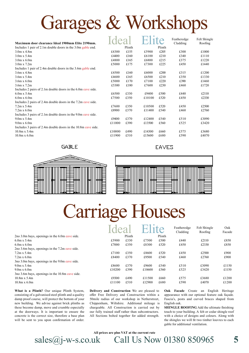## Garages & Workshops

| Maximum door clearance Ideal 1900mm Elite 2190mm.             |        |        |        | <sub>1</sub> te | Featheredge<br>Cladding | Felt Shingle<br>Roofing |
|---------------------------------------------------------------|--------|--------|--------|-----------------|-------------------------|-------------------------|
| Includes 1 pair of 2.1m double doors in the 3.0m gable end.   |        | Plinth |        | Plinth          |                         |                         |
| $3.0m \times 4.8m$                                            | £4300  | £155   | £5900  | £205            | £300                    | £1000                   |
| $3.0m \times 5.4m$                                            | £4400  | £160   | £6100  | £210            | £340                    | £1110                   |
| $3.0m \times 6.0m$                                            | £4800  | £165   | £6800  | £215            | £375                    | £1220                   |
| $3.0m \times 7.2m$                                            | £5000  | £175   | £7300  | £225            | £450                    | £1440                   |
| Includes 1 pair of 2.4m double doors in the 3.6m gable end.   |        |        |        |                 |                         |                         |
| $3.6m \times 4.8m$                                            | £4500  | £160   | £6000  | £200            | £315                    | £1200                   |
| $3.6m \times 5.4m$                                            | £4600  | £165   | £6500  | £210            | £350                    | £1330                   |
| $3.6m \times 6.0m$                                            | £5000  | £170   | £7100  | £220            | £390                    | £1460                   |
| $3.6m \times 7.2m$                                            | £5300  | £180   | £7600  | £230            | £460                    | £1720                   |
| Includes 2 pairs of 2.1m double doors in the 6.0m eave side.  |        |        |        |                 |                         |                         |
| $6.0m \times 5.4m$                                            | £6500  | £330   | £9400  | £500            | £440                    | £2110                   |
| $6.0m \times 6.0m$                                            | £7500  | £350   | £10100 | £520            | £450                    | £2330                   |
| Includes 2 pairs of 2.4m double doors in the 7.2m eave side.  |        |        |        |                 |                         |                         |
| $7.2m \times 5.4m$                                            | £7600  | £350   | £10500 | £520            | £450                    | £2500                   |
| $7.2m \times 6.0m$                                            | £8900  | £370   | £11400 | £540            | £460                    | £2760                   |
| Includes 3 pairs of 2.1m double doors in the 9.0m eave side.  |        |        |        |                 |                         |                         |
| $9.0m \times 5.4m$                                            | £9400  | £370   | £12400 | £540            | £510                    | £3090                   |
| $9.0m \times 6.0m$                                            | £11000 | £390   | £13500 | £560            | £525                    | £3420                   |
| Includes 3 pairs of 2.4m double doors in the 10.8m eave side. |        |        |        |                 |                         |                         |
| $10.8m \times 5.4m$                                           | £10000 | £490   | £14300 | £660            | £575                    | £3680                   |
| $10.8m \times 6.0m$                                           | £11900 | £510   | £15600 | £680            | £590                    | £4070                   |

**GABLE** 





**EAVES** 

## Carriage Houses

|                                                 | Idea   |        | <b>Filite</b> |        | Featheredge<br>Cladding | Felt Shingle<br>Roofing | Oak<br>Facade |
|-------------------------------------------------|--------|--------|---------------|--------|-------------------------|-------------------------|---------------|
| 2no 3.0m bays, openings in the 6.0m eave side.  |        | Plinth |               | Plinth |                         |                         |               |
| $6.0m \times 5.4m$                              | £5900  | £330   | £7500         | £500   | £440                    | £2110                   | £850          |
| $6.0m \times 6.0m$                              | £7000  | £350   | £8300         | £520   | £450                    | £2330                   | £850          |
| 2no 3.6m bays, openings in the 7.2m eave side.  |        |        |               |        |                         |                         |               |
| $7.2m \times 5.4m$                              | £7100  | £350   | £8600         | £520   | £450                    | £2500                   | £900          |
| $7.2m \times 6.0m$                              | £8400  | £370   | £9500         | £540   | £460                    | £2760                   | £900          |
| 3no 3.0m bays, openings in the 9.0m eave side.  |        |        |               |        |                         |                         |               |
| $9.0m \times 5.4m$                              | £8600  | £370   | £9600         | £540   | £510                    | £3090                   | £1150         |
| $9.0m \times 6.0m$                              | £10200 | £390   | £10600        | £560   | £525                    | £3420                   | £1150         |
| 3no 3.6m bays, openings in the 10.8m eave side. |        |        |               |        |                         |                         |               |
| $10.8m \times 5.4m$                             | £9300  | £490   | £11500        | £660   | £575                    | £3680                   | £1200         |
| $10.8m \times 6.0m$                             | £11100 | £510   | £12900        | £680   | £590                    | £4070                   | £1200         |

**What is a Plinth?** Our unique Plinth System, consisting of a galvanised steel plinth and a quality damp proof course, will protect the bottom of your new building. We advise against brick plinths as these become damp, move and crumble especially at the doorways. It is important to ensure the concrete is the correct size, therefore a base plan will be sent to you upon confirmation of order.

**Delivery and Construction** We are pleased to offer Free Delivery and Construction within a 50mile radius of our workshop in Netherstreet, Chippenham, Wiltshire. Additional mileage is chargeable. All Construction is carried out by our fully trained staff rather than subcontractors. All Sections bolted together for added strength.

**Oak Facade** Create an English Heritage appearance with our optional feature oak façade. Fascia's, posts and curved braces shaped from English oak.

**SHINGLE ROOFING** Add the ultimate finishing touch to your building. A felt or cedar shingle roof with a choice of designs and colours. Along with the shingles we will fit two timber louvres to each gable for additional ventilation.

**All prices are plus VAT at the current rate**